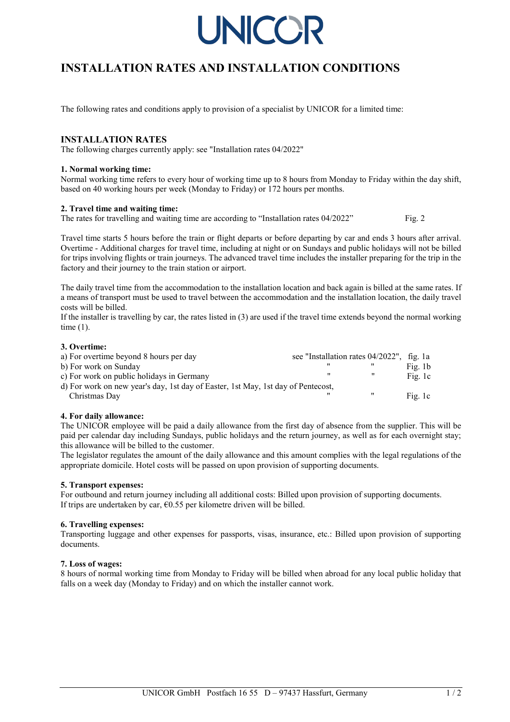

# **INSTALLATION RATES AND INSTALLATION CONDITIONS**

The following rates and conditions apply to provision of a specialist by UNICOR for a limited time:

### **INSTALLATION RATES**

The following charges currently apply: see "Installation rates 04/2022"

#### **1. Normal working time:**

Normal working time refers to every hour of working time up to 8 hours from Monday to Friday within the day shift, based on 40 working hours per week (Monday to Friday) or 172 hours per months.

#### **2. Travel time and waiting time:**

The rates for travelling and waiting time are according to "Installation rates 04/2022" Fig. 2

Travel time starts 5 hours before the train or flight departs or before departing by car and ends 3 hours after arrival. Overtime - Additional charges for travel time, including at night or on Sundays and public holidays will not be billed for trips involving flights or train journeys. The advanced travel time includes the installer preparing for the trip in the factory and their journey to the train station or airport.

The daily travel time from the accommodation to the installation location and back again is billed at the same rates. If a means of transport must be used to travel between the accommodation and the installation location, the daily travel costs will be billed.

If the installer is travelling by car, the rates listed in (3) are used if the travel time extends beyond the normal working time (1).

#### **3. Overtime:**

| a) For overtime beyond 8 hours per day                                           | see "Installation rates $04/2022$ ", fig. 1a |             |
|----------------------------------------------------------------------------------|----------------------------------------------|-------------|
| b) For work on Sunday                                                            |                                              | Fig. $1b$   |
| c) For work on public holidays in Germany                                        | "                                            | Fig. 1c     |
| d) For work on new year's day, 1st day of Easter, 1st May, 1st day of Pentecost, |                                              |             |
| Christmas Day                                                                    |                                              | <br>Fig. 1c |

#### **4. For daily allowance:**

The UNICOR employee will be paid a daily allowance from the first day of absence from the supplier. This will be paid per calendar day including Sundays, public holidays and the return journey, as well as for each overnight stay; this allowance will be billed to the customer.

The legislator regulates the amount of the daily allowance and this amount complies with the legal regulations of the appropriate domicile. Hotel costs will be passed on upon provision of supporting documents.

#### **5. Transport expenses:**

For outbound and return journey including all additional costs: Billed upon provision of supporting documents. If trips are undertaken by car,  $\epsilon$ 0.55 per kilometre driven will be billed.

#### **6. Travelling expenses:**

Transporting luggage and other expenses for passports, visas, insurance, etc.: Billed upon provision of supporting documents.

#### **7. Loss of wages:**

8 hours of normal working time from Monday to Friday will be billed when abroad for any local public holiday that falls on a week day (Monday to Friday) and on which the installer cannot work.